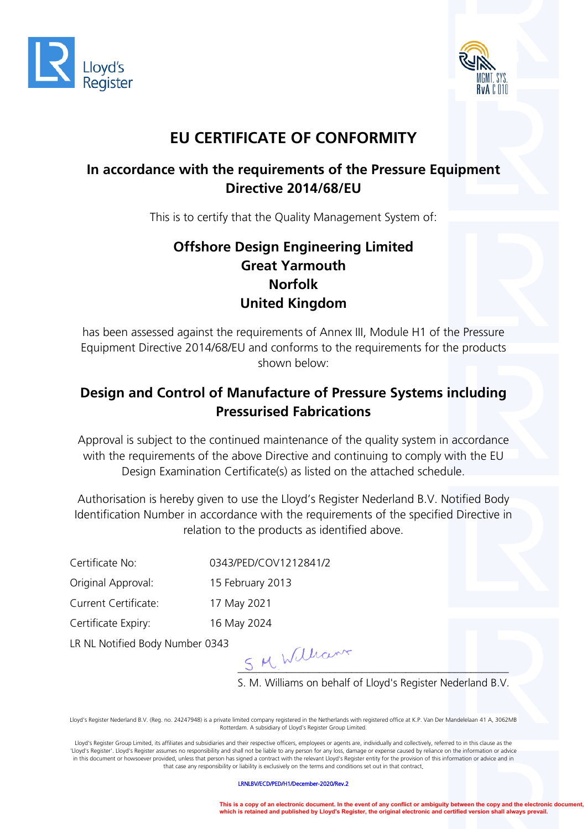



## **EU CERTIFICATE OF CONFORMITY**

#### **In accordance with the requirements of the Pressure Equipment Directive 2014/68/EU**

This is to certify that the Quality Management System of:

### **Offshore Design Engineering Limited Great Yarmouth Norfolk United Kingdom**

has been assessed against the requirements of Annex III, Module H1 of the Pressure Equipment Directive 2014/68/EU and conforms to the requirements for the products shown below:

#### **Design and Control of Manufacture of Pressure Systems including Pressurised Fabrications**

Approval is subject to the continued maintenance of the quality system in accordance with the requirements of the above Directive and continuing to comply with the EU Design Examination Certificate(s) as listed on the attached schedule.

Authorisation is hereby given to use the Lloyd's Register Nederland B.V. Notified Body Identification Number in accordance with the requirements of the specified Directive in relation to the products as identified above.

Certificate No: 0343/PED/COV1212841/2

Original Approval: 15 February 2013

Current Certificate: 17 May 2021

Certificate Expiry: 16 May 2024

LR NL Notified Body Number 0343

 $S$  M William

S. M. Williams on behalf of Lloyd's Register Nederland B.V.

Lloyd's Register Nederland B.V. (Reg. no. 24247948) is a private limited company registered in the Netherlands with registered office at K.P. Van Der Mandelelaan 41 A, 3062MB Rotterdam. A subsidiary of Lloyd's Register Group Limited.

Lloyd's Register Group Limited, its affiliates and subsidiaries and their respective officers, employees or agents are, individually and collectively, referred to in this clause as the 'Lloyd's Register'. Lloyd's Register assumes no responsibility and shall not be liable to any person for any loss, damage or expense caused by reliance on the information or advice in this document or howsoever provided, unless that person has signed a contract with the relevant Lloyd's Register entity for the provision of this information or advice and in that case any responsibility or liability is exclusively on the terms and conditions set out in that contract.

LRNLBV/ECD/PED/H1/December-2020/Rev.2